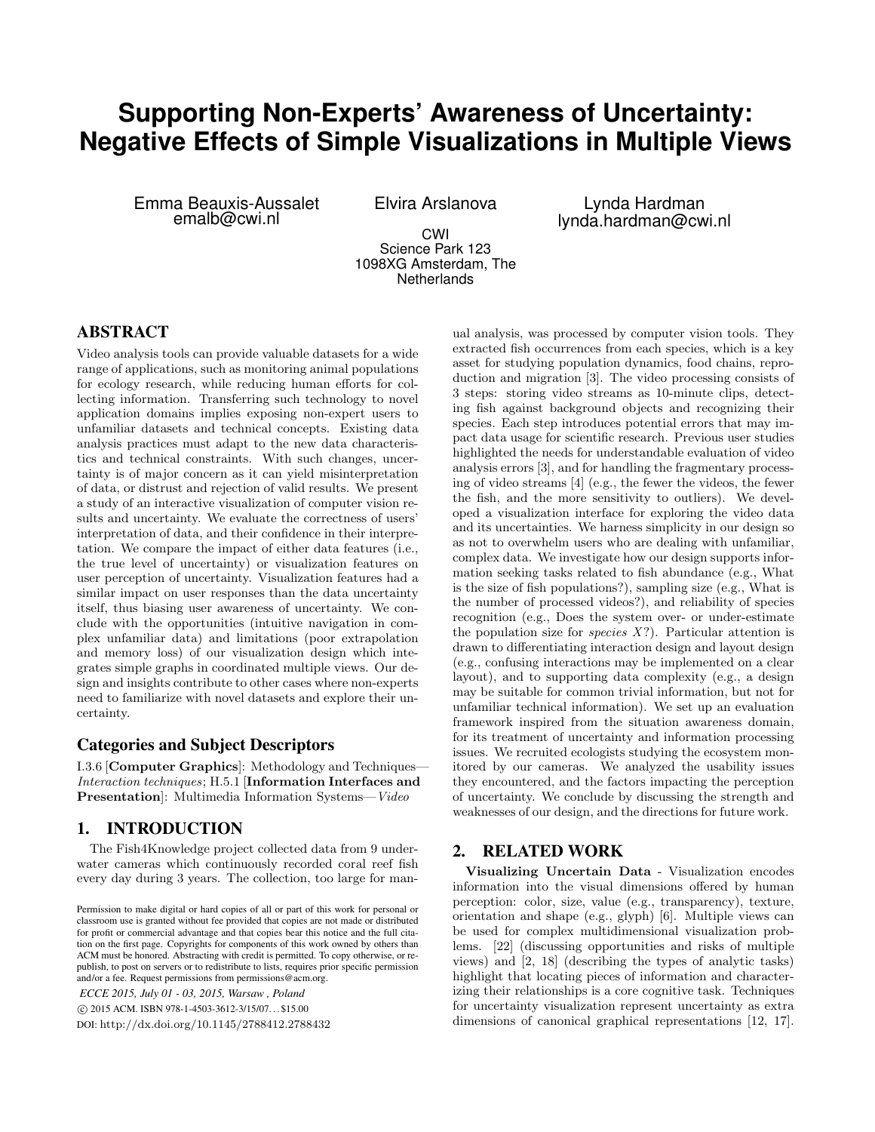# **Supporting Non-Experts' Awareness of Uncertainty: Negative Effects of Simple Visualizations in Multiple Views**

Emma Beauxis-Aussalet emalb@cwi.nl

Elvira Arslanova

Lynda Hardman lynda.hardman@cwi.nl

CWI Science Park 123 1098XG Amsterdam, The **Netherlands** 

### ABSTRACT

Video analysis tools can provide valuable datasets for a wide range of applications, such as monitoring animal populations for ecology research, while reducing human efforts for collecting information. Transferring such technology to novel application domains implies exposing non-expert users to unfamiliar datasets and technical concepts. Existing data analysis practices must adapt to the new data characteristics and technical constraints. With such changes, uncertainty is of major concern as it can yield misinterpretation of data, or distrust and rejection of valid results. We present a study of an interactive visualization of computer vision results and uncertainty. We evaluate the correctness of users' interpretation of data, and their confidence in their interpretation. We compare the impact of either data features (i.e., the true level of uncertainty) or visualization features on user perception of uncertainty. Visualization features had a similar impact on user responses than the data uncertainty itself, thus biasing user awareness of uncertainty. We conclude with the opportunities (intuitive navigation in complex unfamiliar data) and limitations (poor extrapolation and memory loss) of our visualization design which integrates simple graphs in coordinated multiple views. Our design and insights contribute to other cases where non-experts need to familiarize with novel datasets and explore their uncertainty.

#### Categories and Subject Descriptors

I.3.6 [Computer Graphics]: Methodology and Techniques— Interaction techniques: H.5.1 [Information Interfaces and Presentation]: Multimedia Information Systems—Video

#### 1. INTRODUCTION

The Fish4Knowledge project collected data from 9 underwater cameras which continuously recorded coral reef fish every day during 3 years. The collection, too large for man-

*ECCE 2015, July 01 - 03, 2015, Warsaw , Poland* c 2015 ACM. ISBN 978-1-4503-3612-3/15/07. . . \$15.00 DOI: http://dx.doi.org/10.1145/2788412.2788432 ual analysis, was processed by computer vision tools. They extracted fish occurrences from each species, which is a key asset for studying population dynamics, food chains, reproduction and migration [3]. The video processing consists of 3 steps: storing video streams as 10-minute clips, detecting fish against background objects and recognizing their species. Each step introduces potential errors that may impact data usage for scientific research. Previous user studies highlighted the needs for understandable evaluation of video analysis errors [3], and for handling the fragmentary processing of video streams [4] (e.g., the fewer the videos, the fewer the fish, and the more sensitivity to outliers). We developed a visualization interface for exploring the video data and its uncertainties. We harness simplicity in our design so as not to overwhelm users who are dealing with unfamiliar, complex data. We investigate how our design supports information seeking tasks related to fish abundance (e.g., What is the size of fish populations?), sampling size (e.g., What is the number of processed videos?), and reliability of species recognition (e.g., Does the system over- or under-estimate the population size for *species*  $X$ ?). Particular attention is drawn to differentiating interaction design and layout design (e.g., confusing interactions may be implemented on a clear layout), and to supporting data complexity (e.g., a design may be suitable for common trivial information, but not for unfamiliar technical information). We set up an evaluation framework inspired from the situation awareness domain, for its treatment of uncertainty and information processing issues. We recruited ecologists studying the ecosystem monitored by our cameras. We analyzed the usability issues they encountered, and the factors impacting the perception of uncertainty. We conclude by discussing the strength and weaknesses of our design, and the directions for future work.

#### 2. RELATED WORK

Visualizing Uncertain Data - Visualization encodes information into the visual dimensions offered by human perception: color, size, value (e.g., transparency), texture, orientation and shape (e.g., glyph) [6]. Multiple views can be used for complex multidimensional visualization problems. [22] (discussing opportunities and risks of multiple views) and [2, 18] (describing the types of analytic tasks) highlight that locating pieces of information and characterizing their relationships is a core cognitive task. Techniques for uncertainty visualization represent uncertainty as extra dimensions of canonical graphical representations [12, 17].

Permission to make digital or hard copies of all or part of this work for personal or classroom use is granted without fee provided that copies are not made or distributed for profit or commercial advantage and that copies bear this notice and the full citation on the first page. Copyrights for components of this work owned by others than ACM must be honored. Abstracting with credit is permitted. To copy otherwise, or republish, to post on servers or to redistribute to lists, requires prior specific permission and/or a fee. Request permissions from permissions@acm.org.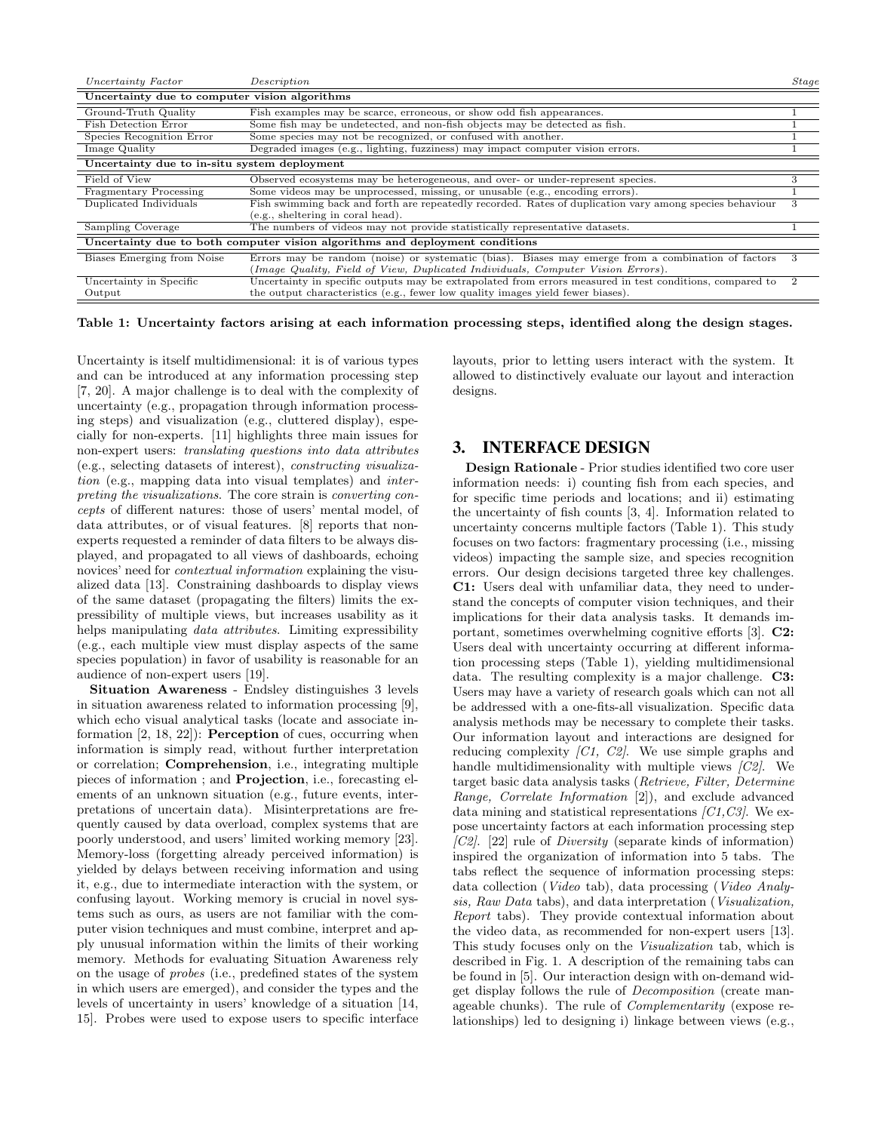| Uncertainty Factor                            | Description                                                                                                                                                                                 |                |  |  |  |  |  |
|-----------------------------------------------|---------------------------------------------------------------------------------------------------------------------------------------------------------------------------------------------|----------------|--|--|--|--|--|
| Uncertainty due to computer vision algorithms |                                                                                                                                                                                             |                |  |  |  |  |  |
| Ground-Truth Quality                          | Fish examples may be scarce, erroneous, or show odd fish appearances.                                                                                                                       |                |  |  |  |  |  |
| Fish Detection Error                          | Some fish may be undetected, and non-fish objects may be detected as fish.                                                                                                                  |                |  |  |  |  |  |
| Species Recognition Error                     | Some species may not be recognized, or confused with another.                                                                                                                               |                |  |  |  |  |  |
| Image Quality                                 | Degraded images (e.g., lighting, fuzziness) may impact computer vision errors.                                                                                                              |                |  |  |  |  |  |
| Uncertainty due to in-situ system deployment  |                                                                                                                                                                                             |                |  |  |  |  |  |
| Field of View                                 | Observed ecosystems may be heterogeneous, and over- or under-represent species.                                                                                                             | 3              |  |  |  |  |  |
| Fragmentary Processing                        | Some videos may be unprocessed, missing, or unusable (e.g., encoding errors).                                                                                                               |                |  |  |  |  |  |
| Duplicated Individuals                        | Fish swimming back and forth are repeatedly recorded. Rates of duplication vary among species behaviour<br>(e.g., sheltering in coral head).                                                | 3              |  |  |  |  |  |
| Sampling Coverage                             | The numbers of videos may not provide statistically representative datasets.                                                                                                                |                |  |  |  |  |  |
|                                               | Uncertainty due to both computer vision algorithms and deployment conditions                                                                                                                |                |  |  |  |  |  |
| Biases Emerging from Noise                    | Errors may be random (noise) or systematic (bias). Biases may emerge from a combination of factors<br>(Image Quality, Field of View, Duplicated Individuals, Computer Vision Errors).       | 3              |  |  |  |  |  |
| Uncertainty in Specific<br>Output             | Uncertainty in specific outputs may be extrapolated from errors measured in test conditions, compared to<br>the output characteristics (e.g., fewer low quality images yield fewer biases). | $\overline{2}$ |  |  |  |  |  |

Table 1: Uncertainty factors arising at each information processing steps, identified along the design stages.

Uncertainty is itself multidimensional: it is of various types and can be introduced at any information processing step [7, 20]. A major challenge is to deal with the complexity of uncertainty (e.g., propagation through information processing steps) and visualization (e.g., cluttered display), especially for non-experts. [11] highlights three main issues for non-expert users: translating questions into data attributes (e.g., selecting datasets of interest), constructing visualization (e.g., mapping data into visual templates) and interpreting the visualizations. The core strain is converting concepts of different natures: those of users' mental model, of data attributes, or of visual features. [8] reports that nonexperts requested a reminder of data filters to be always displayed, and propagated to all views of dashboards, echoing novices' need for *contextual information* explaining the visualized data [13]. Constraining dashboards to display views of the same dataset (propagating the filters) limits the expressibility of multiple views, but increases usability as it helps manipulating *data attributes*. Limiting expressibility (e.g., each multiple view must display aspects of the same species population) in favor of usability is reasonable for an audience of non-expert users [19].

Situation Awareness - Endsley distinguishes 3 levels in situation awareness related to information processing [9], which echo visual analytical tasks (locate and associate information [2, 18, 22]): Perception of cues, occurring when information is simply read, without further interpretation or correlation; Comprehension, i.e., integrating multiple pieces of information ; and Projection, i.e., forecasting elements of an unknown situation (e.g., future events, interpretations of uncertain data). Misinterpretations are frequently caused by data overload, complex systems that are poorly understood, and users' limited working memory [23]. Memory-loss (forgetting already perceived information) is yielded by delays between receiving information and using it, e.g., due to intermediate interaction with the system, or confusing layout. Working memory is crucial in novel systems such as ours, as users are not familiar with the computer vision techniques and must combine, interpret and apply unusual information within the limits of their working memory. Methods for evaluating Situation Awareness rely on the usage of probes (i.e., predefined states of the system in which users are emerged), and consider the types and the levels of uncertainty in users' knowledge of a situation [14, 15]. Probes were used to expose users to specific interface layouts, prior to letting users interact with the system. It allowed to distinctively evaluate our layout and interaction designs.

# 3. INTERFACE DESIGN

Design Rationale - Prior studies identified two core user information needs: i) counting fish from each species, and for specific time periods and locations; and ii) estimating the uncertainty of fish counts [3, 4]. Information related to uncertainty concerns multiple factors (Table 1). This study focuses on two factors: fragmentary processing (i.e., missing videos) impacting the sample size, and species recognition errors. Our design decisions targeted three key challenges. C1: Users deal with unfamiliar data, they need to understand the concepts of computer vision techniques, and their implications for their data analysis tasks. It demands important, sometimes overwhelming cognitive efforts [3]. C2: Users deal with uncertainty occurring at different information processing steps (Table 1), yielding multidimensional data. The resulting complexity is a major challenge. C3: Users may have a variety of research goals which can not all be addressed with a one-fits-all visualization. Specific data analysis methods may be necessary to complete their tasks. Our information layout and interactions are designed for reducing complexity  $\langle C1, C2 \rangle$ . We use simple graphs and handle multidimensionality with multiple views [C2]. We target basic data analysis tasks (Retrieve, Filter, Determine Range, Correlate Information [2]), and exclude advanced data mining and statistical representations  $[*C1*,*C3*]$ . We expose uncertainty factors at each information processing step  $[C2]$ . [22] rule of *Diversity* (separate kinds of information) inspired the organization of information into 5 tabs. The tabs reflect the sequence of information processing steps: data collection (Video tab), data processing (Video Analysis, Raw Data tabs), and data interpretation (Visualization, Report tabs). They provide contextual information about the video data, as recommended for non-expert users [13]. This study focuses only on the Visualization tab, which is described in Fig. 1. A description of the remaining tabs can be found in [5]. Our interaction design with on-demand widget display follows the rule of Decomposition (create manageable chunks). The rule of Complementarity (expose relationships) led to designing i) linkage between views (e.g.,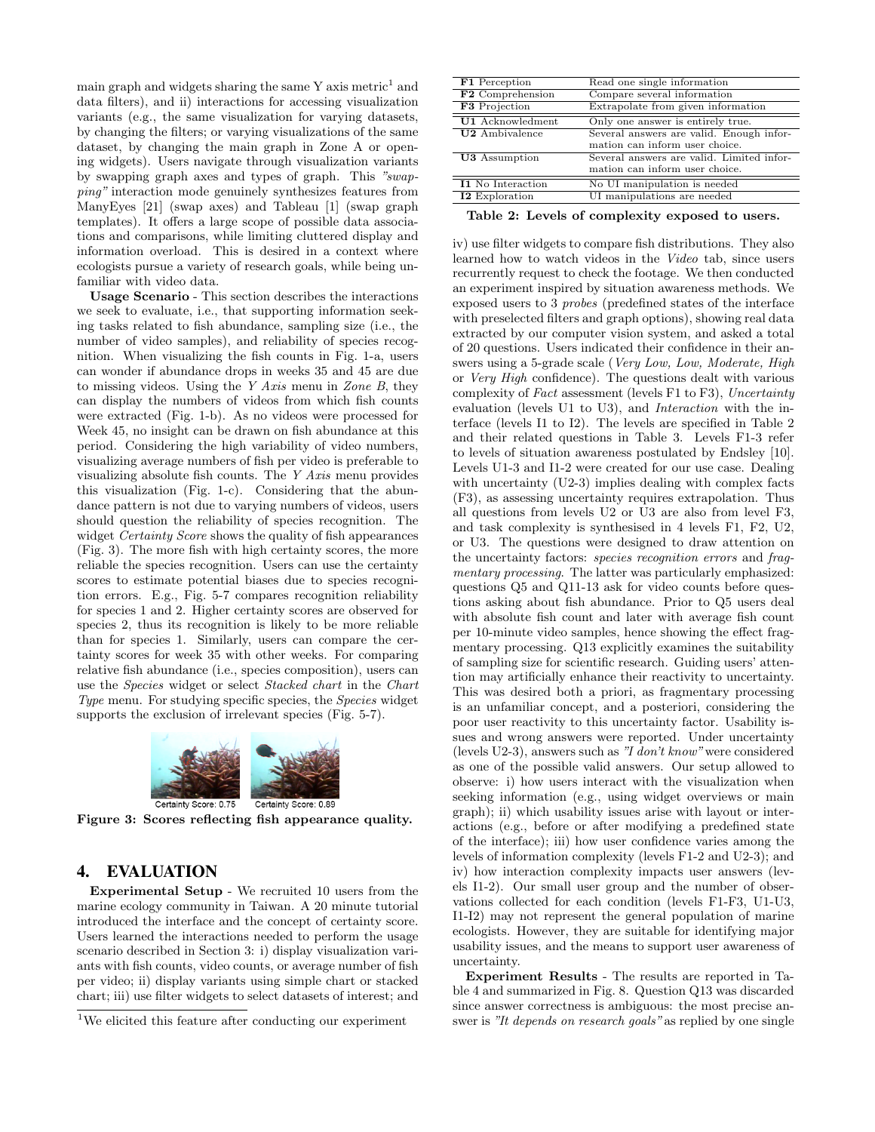main graph and widgets sharing the same Y axis metric<sup>1</sup> and data filters), and ii) interactions for accessing visualization variants (e.g., the same visualization for varying datasets, by changing the filters; or varying visualizations of the same dataset, by changing the main graph in Zone A or opening widgets). Users navigate through visualization variants by swapping graph axes and types of graph. This "swapping" interaction mode genuinely synthesizes features from ManyEyes [21] (swap axes) and Tableau [1] (swap graph templates). It offers a large scope of possible data associations and comparisons, while limiting cluttered display and information overload. This is desired in a context where ecologists pursue a variety of research goals, while being unfamiliar with video data.

Usage Scenario - This section describes the interactions we seek to evaluate, i.e., that supporting information seeking tasks related to fish abundance, sampling size (i.e., the number of video samples), and reliability of species recognition. When visualizing the fish counts in Fig. 1-a, users can wonder if abundance drops in weeks 35 and 45 are due to missing videos. Using the Y Axis menu in Zone B, they can display the numbers of videos from which fish counts were extracted (Fig. 1-b). As no videos were processed for Week 45, no insight can be drawn on fish abundance at this period. Considering the high variability of video numbers, visualizing average numbers of fish per video is preferable to visualizing absolute fish counts. The Y Axis menu provides this visualization (Fig. 1-c). Considering that the abundance pattern is not due to varying numbers of videos, users should question the reliability of species recognition. The widget *Certainty Score* shows the quality of fish appearances (Fig. 3). The more fish with high certainty scores, the more reliable the species recognition. Users can use the certainty scores to estimate potential biases due to species recognition errors. E.g., Fig. 5-7 compares recognition reliability for species 1 and 2. Higher certainty scores are observed for species 2, thus its recognition is likely to be more reliable than for species 1. Similarly, users can compare the certainty scores for week 35 with other weeks. For comparing relative fish abundance (i.e., species composition), users can use the Species widget or select Stacked chart in the Chart Type menu. For studying specific species, the Species widget supports the exclusion of irrelevant species (Fig. 5-7).



Figure 3: Scores reflecting fish appearance quality.

# 4. EVALUATION

Experimental Setup - We recruited 10 users from the marine ecology community in Taiwan. A 20 minute tutorial introduced the interface and the concept of certainty score. Users learned the interactions needed to perform the usage scenario described in Section 3: i) display visualization variants with fish counts, video counts, or average number of fish per video; ii) display variants using simple chart or stacked chart; iii) use filter widgets to select datasets of interest; and

| F1 Perception           | Read one single information               |
|-------------------------|-------------------------------------------|
| F2 Comprehension        | Compare several information               |
| F3 Projection           | Extrapolate from given information        |
| <b>U1</b> Acknowledment | Only one answer is entirely true.         |
| U2 Ambivalence          | Several answers are valid. Enough infor-  |
|                         | mation can inform user choice.            |
| <b>U3</b> Assumption    | Several answers are valid. Limited infor- |
|                         | mation can inform user choice.            |
| I1 No Interaction       | No UI manipulation is needed              |
|                         |                                           |
| <b>I2</b> Exploration   | UI manipulations are needed               |
|                         |                                           |

Table 2: Levels of complexity exposed to users.

iv) use filter widgets to compare fish distributions. They also learned how to watch videos in the Video tab, since users recurrently request to check the footage. We then conducted an experiment inspired by situation awareness methods. We exposed users to 3 probes (predefined states of the interface with preselected filters and graph options), showing real data extracted by our computer vision system, and asked a total of 20 questions. Users indicated their confidence in their answers using a 5-grade scale (Very Low, Low, Moderate, High or Very High confidence). The questions dealt with various complexity of Fact assessment (levels F1 to F3), Uncertainty evaluation (levels U1 to U3), and Interaction with the interface (levels I1 to I2). The levels are specified in Table 2 and their related questions in Table 3. Levels F1-3 refer to levels of situation awareness postulated by Endsley [10]. Levels U1-3 and I1-2 were created for our use case. Dealing with uncertainty (U2-3) implies dealing with complex facts (F3), as assessing uncertainty requires extrapolation. Thus all questions from levels U2 or U3 are also from level F3, and task complexity is synthesised in 4 levels F1, F2, U2, or U3. The questions were designed to draw attention on the uncertainty factors: species recognition errors and fragmentary processing. The latter was particularly emphasized: questions Q5 and Q11-13 ask for video counts before questions asking about fish abundance. Prior to Q5 users deal with absolute fish count and later with average fish count per 10-minute video samples, hence showing the effect fragmentary processing. Q13 explicitly examines the suitability of sampling size for scientific research. Guiding users' attention may artificially enhance their reactivity to uncertainty. This was desired both a priori, as fragmentary processing is an unfamiliar concept, and a posteriori, considering the poor user reactivity to this uncertainty factor. Usability issues and wrong answers were reported. Under uncertainty (levels U2-3), answers such as "I don't know"were considered as one of the possible valid answers. Our setup allowed to observe: i) how users interact with the visualization when seeking information (e.g., using widget overviews or main graph); ii) which usability issues arise with layout or interactions (e.g., before or after modifying a predefined state of the interface); iii) how user confidence varies among the levels of information complexity (levels F1-2 and U2-3); and iv) how interaction complexity impacts user answers (levels I1-2). Our small user group and the number of observations collected for each condition (levels F1-F3, U1-U3, I1-I2) may not represent the general population of marine ecologists. However, they are suitable for identifying major usability issues, and the means to support user awareness of uncertainty.

Experiment Results - The results are reported in Table 4 and summarized in Fig. 8. Question Q13 was discarded since answer correctness is ambiguous: the most precise answer is "It depends on research goals" as replied by one single

 $^{1}\mathrm{We}$  elicited this feature after conducting our experiment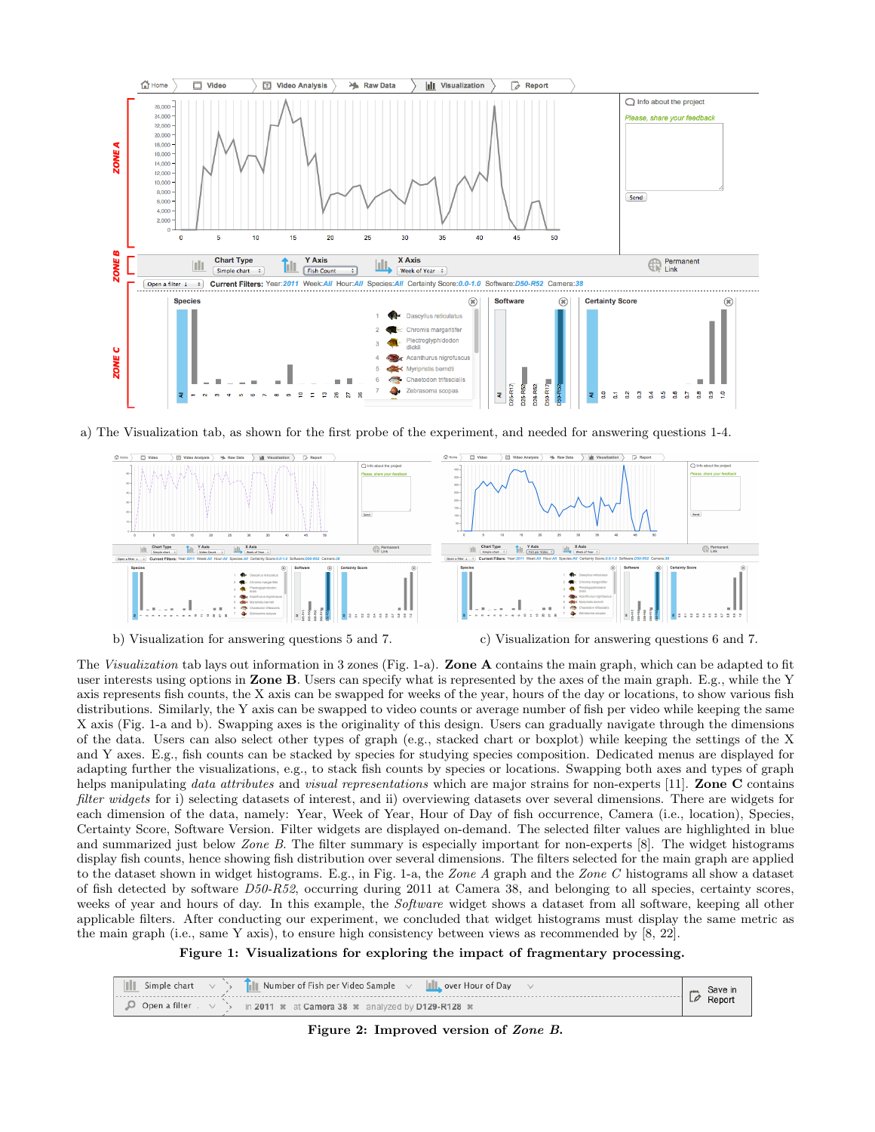

a) The Visualization tab, as shown for the first probe of the experiment, and needed for answering questions 1-4.



b) Visualization for answering questions 5 and 7. c) Visualization for answering questions 6 and 7.

The Visualization tab lays out information in 3 zones (Fig. 1-a). Zone A contains the main graph, which can be adapted to fit user interests using options in Zone B. Users can specify what is represented by the axes of the main graph. E.g., while the Y axis represents fish counts, the X axis can be swapped for weeks of the year, hours of the day or locations, to show various fish distributions. Similarly, the Y axis can be swapped to video counts or average number of fish per video while keeping the same X axis (Fig. 1-a and b). Swapping axes is the originality of this design. Users can gradually navigate through the dimensions of the data. Users can also select other types of graph (e.g., stacked chart or boxplot) while keeping the settings of the X and Y axes. E.g., fish counts can be stacked by species for studying species composition. Dedicated menus are displayed for adapting further the visualizations, e.g., to stack fish counts by species or locations. Swapping both axes and types of graph helps manipulating *data attributes* and *visual representations* which are major strains for non-experts [11]. **Zone C** contains filter widgets for i) selecting datasets of interest, and ii) overviewing datasets over several dimensions. There are widgets for each dimension of the data, namely: Year, Week of Year, Hour of Day of fish occurrence, Camera (i.e., location), Species, Certainty Score, Software Version. Filter widgets are displayed on-demand. The selected filter values are highlighted in blue and summarized just below *Zone B*. The filter summary is especially important for non-experts [8]. The widget histograms display fish counts, hence showing fish distribution over several dimensions. The filters selected for the main graph are applied to the dataset shown in widget histograms. E.g., in Fig. 1-a, the Zone A graph and the Zone C histograms all show a dataset of fish detected by software D50-R52, occurring during 2011 at Camera 38, and belonging to all species, certainty scores, weeks of year and hours of day. In this example, the Software widget shows a dataset from all software, keeping all other applicable filters. After conducting our experiment, we concluded that widget histograms must display the same metric as the main graph (i.e., same Y axis), to ensure high consistency between views as recommended by [8, 22].

Figure 1: Visualizations for exploring the impact of fragmentary processing.

|  | <b>A</b> Simple chart $\vee$ > $\prod_{i=1}^{n}$ Number of Fish per Video Sample $\vee$ <b>A</b> Number of Day |               | Save in |
|--|----------------------------------------------------------------------------------------------------------------|---------------|---------|
|  | <b>Open a filter</b> $\sim$ > in 2011 $\ast$ at Camera 38 $\ast$ analyzed by D129-R128 $\ast$                  | $\mathcal{L}$ | Report  |

Figure 2: Improved version of Zone B.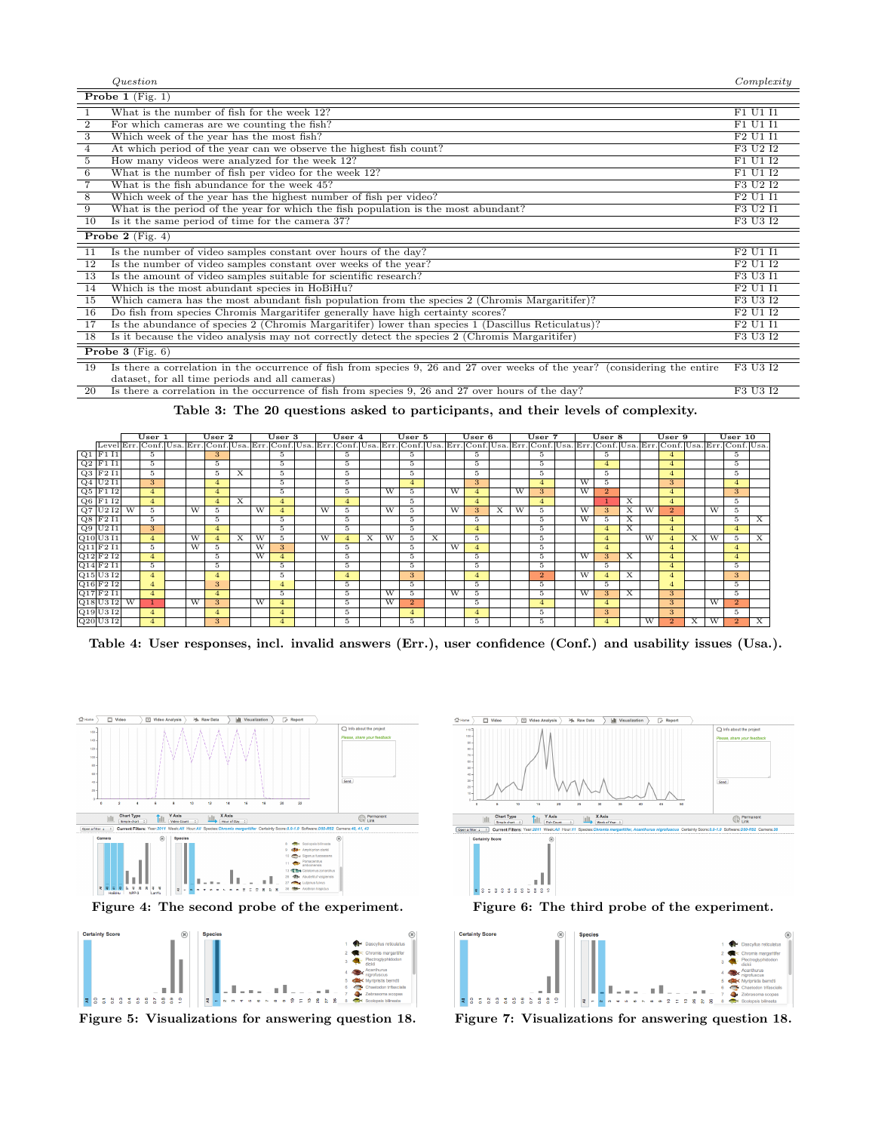| Question                |                                                                                                    | Complexity                                   |
|-------------------------|----------------------------------------------------------------------------------------------------|----------------------------------------------|
| <b>Probe 1</b> (Fig. 1) |                                                                                                    |                                              |
|                         | What is the number of fish for the week 12?                                                        | F1 U1 I1                                     |
| $\overline{2}$          | For which cameras are we counting the fish?                                                        | F1 U1 I1                                     |
| 3                       | Which week of the year has the most fish?                                                          | F <sub>2</sub> U <sub>1</sub> I <sub>1</sub> |
| $\overline{4}$          | At which period of the year can we observe the highest fish count?                                 | F3 U2 I2                                     |
| $5\overline{)}$         | How many videos were analyzed for the week 12?                                                     | F1 U1 I2                                     |
| 6                       | What is the number of fish per video for the week 12?                                              | F1 U1 I2                                     |
| 7                       | What is the fish abundance for the week 45?                                                        | F3 U2 I2                                     |
| 8                       | Which week of the year has the highest number of fish per video?                                   | F <sub>2</sub> U <sub>1</sub> I <sub>1</sub> |
| 9                       | What is the period of the year for which the fish population is the most abundant?                 | F3 U2 I1                                     |
| 10                      | Is it the same period of time for the camera 37?                                                   | F3 U3 I2                                     |
| <b>Probe 2</b> (Fig. 4) |                                                                                                    |                                              |
| -11                     | Is the number of video samples constant over hours of the day?                                     | F <sub>2</sub> U <sub>1 I1</sub>             |
| 12                      | Is the number of video samples constant over weeks of the year?                                    | F2 U1 I2                                     |
| 13                      | Is the amount of video samples suitable for scientific research?                                   | F3 U3 I1                                     |
| 14                      | Which is the most abundant species in HoBiHu?                                                      | F2 U1 I1                                     |
| 15                      | Which camera has the most abundant fish population from the species 2 (Chromis Margaritifer)?      | F3 U3 I2                                     |
| 16                      | Do fish from species Chromis Margaritifer generally have high certainty scores?                    | F <sub>2</sub> U <sub>1</sub> I <sub>2</sub> |
| 17                      | Is the abundance of species 2 (Chromis Margaritifer) lower than species 1 (Dascillus Reticulatus)? | F2 U1 I1                                     |
| 18                      | Is it because the video analysis may not correctly detect the species 2 (Chromis Margaritifer)     | F3 U3 I2                                     |
| Probe $3$ (Fig. 6)      |                                                                                                    |                                              |

19 Is there a correlation in the occurrence of fish from species 9, 26 and 27 over weeks of the year? (considering the entire dataset, for all time periods and all cameras) F3 U3 I2

20 Is there a correlation in the occurrence of fish from species 9, 26 and 27 over hours of the day? F3 U3 I2



|                                     |                                                          | User <sub>2</sub><br>User |                |  |   |                |                         |   | User3          | User 4 |   |                |             |   | User 5         |   |   | User 6         |                         |   | User           |  |   | User 8         |                         |   | User 9         |              | User 10 |                                                                                                                                                                                       |                         |
|-------------------------------------|----------------------------------------------------------|---------------------------|----------------|--|---|----------------|-------------------------|---|----------------|--------|---|----------------|-------------|---|----------------|---|---|----------------|-------------------------|---|----------------|--|---|----------------|-------------------------|---|----------------|--------------|---------|---------------------------------------------------------------------------------------------------------------------------------------------------------------------------------------|-------------------------|
|                                     |                                                          |                           |                |  |   |                |                         |   |                |        |   |                |             |   |                |   |   |                |                         |   |                |  |   |                |                         |   |                |              |         | Level Err. Conf. Usa. Err. Conf. Usa. Err. Conf. Usa. Err. Conf. Usa. Err. Conf. Usa. Err. Conf. Usa. Err. Conf. Usa. Err. Conf. Usa. Err. Conf. Usa. Err. Conf. Usa. Err. Conf. Usa. |                         |
|                                     | $Q1$ F1 I1                                               |                           | 5              |  |   | 3              |                         |   | 5              |        |   | 5              |             |   | 5              |   |   | 5.             |                         |   | 5.             |  |   | 5.             |                         |   | $\overline{4}$ |              |         | 5                                                                                                                                                                                     |                         |
| $Q2$ F1 I1                          |                                                          |                           | 5              |  |   | Ð              |                         |   | Ð              |        |   | 5              |             |   | 5              |   |   | 5.             |                         |   | Ð              |  |   | 4              |                         |   | 4              |              |         | 5                                                                                                                                                                                     |                         |
| $Q3$ F <sub>2</sub> I <sub>1</sub>  |                                                          |                           | 5              |  |   | $\mathcal{D}$  | $\overline{\mathbf{x}}$ |   | 5.             |        |   | 5              |             |   | 5.             |   |   | 5.             |                         |   | 5              |  |   | 5.             |                         |   | $\overline{4}$ |              |         | 5                                                                                                                                                                                     |                         |
| $ Q_4 $                             | U2I1                                                     |                           | 3              |  |   | 4              |                         |   | Ð              |        |   | 5              |             |   | $\overline{4}$ |   |   | 3              |                         |   | $\overline{4}$ |  | W | 5.             |                         |   | 3              |              |         | $\overline{4}$                                                                                                                                                                        |                         |
| Q5                                  | $_{\rm F1}$                                              |                           | 4              |  |   | 4              |                         |   | 5.             |        |   | 5              |             | W | 5              |   | W |                |                         | W | 3              |  | W | $\overline{2}$ |                         |   |                |              |         | 3                                                                                                                                                                                     |                         |
| Q6                                  | $_{\rm F1}$<br>$_{12}$                                   |                           | 4              |  |   | 4              | X                       |   | $\overline{4}$ |        |   | $\overline{4}$ |             |   | 5              |   |   | 4              |                         |   | $\overline{4}$ |  |   |                | Х                       |   | $\overline{4}$ |              |         | 5                                                                                                                                                                                     |                         |
| Q7                                  | U <sub>2</sub> 12                                        | W                         | 5              |  | W | Ð              |                         | W | $\overline{4}$ |        | W | 5              |             | W | 5              |   | W | 3              | $\overline{\mathbf{x}}$ | W | 5              |  | W | 3              | $\overline{\mathbf{x}}$ | W | $\overline{2}$ |              | W       | 5                                                                                                                                                                                     |                         |
| Q8                                  | F <sub>2</sub> I <sub>1</sub>                            |                           | 5              |  |   | Ð              |                         |   | 5              |        |   | 5              |             |   | 5              |   |   | 5              |                         |   | 5              |  | W | 5              | Х                       |   | 4              |              |         | 5                                                                                                                                                                                     | $\overline{\mathbf{x}}$ |
| Q9                                  | U2I1                                                     |                           | 3              |  |   |                |                         |   | 5              |        |   | 5              |             |   | 5              |   |   | 4              |                         |   | 5              |  |   |                | Х                       |   | $\overline{4}$ |              |         | $\overline{4}$                                                                                                                                                                        |                         |
| $Q10$ U3 I1                         |                                                          |                           | 4              |  | W | $\overline{4}$ | X                       | W | 5              |        | W | 4              | $\mathbf x$ | W | 5              | X |   | 5              |                         |   | 5              |  |   | $\overline{4}$ |                         | W | $\overline{4}$ | X            | W       | 5                                                                                                                                                                                     | X                       |
| $Q11$ F2 I1                         |                                                          |                           | 5              |  | W | Ð              |                         | W | 3              |        |   | 5              |             |   | 5              |   | W | 4              |                         |   | 5              |  |   | 4              |                         |   | 4              |              |         | $\overline{4}$                                                                                                                                                                        |                         |
|                                     | $Q12$ F <sub>2</sub> I <sub>2</sub>                      |                           | 4              |  |   | Ð              |                         | W | $\overline{4}$ |        |   | 5              |             |   | 5              |   |   | 5              |                         |   | 5              |  | W | 3              | Х                       |   | $\overline{4}$ |              |         | $\overline{4}$                                                                                                                                                                        |                         |
| $Q14$ F <sub>2</sub> I <sub>1</sub> |                                                          |                           | 5              |  |   | Ð              |                         |   | Ð              |        |   | 5              |             |   | 5              |   |   | 5.             |                         |   | Ð              |  |   | Ð.             |                         |   | $\overline{4}$ |              |         | 5                                                                                                                                                                                     |                         |
|                                     | Q15U312                                                  |                           | 4              |  |   | 4              |                         |   | $\mathcal{D}$  |        |   | 4              |             |   | 3              |   |   | 4              |                         |   | $\overline{2}$ |  | W |                | X                       |   | $\overline{4}$ |              |         | 3                                                                                                                                                                                     |                         |
|                                     | $Q16$ F <sub>2</sub> I <sub>2</sub>                      |                           | 4              |  |   | 3              |                         |   | 4              |        |   | 5              |             |   | 5              |   |   | 5              |                         |   | 5              |  |   | 5              |                         |   | 4              |              |         | 5                                                                                                                                                                                     |                         |
| $Q17$ F <sub>2</sub> I              |                                                          |                           | $\overline{4}$ |  |   | 4              |                         |   | 5.             |        |   | 5              |             | W | 5              |   | W | 5.             |                         |   | 5              |  | W | 3              | Х                       |   | 3              |              |         | 5.                                                                                                                                                                                    |                         |
|                                     | $\overline{Q18}U312$                                     | W                         |                |  | W | 3              |                         | W | $\overline{4}$ |        |   | 5              |             | W | $\overline{2}$ |   |   | 5              |                         |   | 4              |  |   | 4              |                         |   | 3              |              | W       | $\overline{2}$                                                                                                                                                                        |                         |
|                                     | Q19U312                                                  |                           | 4              |  |   | $\overline{A}$ |                         |   | $\overline{A}$ |        |   | 5              |             |   | $\overline{4}$ |   |   | $\overline{4}$ |                         |   | 5              |  |   | 3              |                         |   | 3              |              |         | 5.                                                                                                                                                                                    |                         |
|                                     | $\left  \mathrm{Q20} \right  \overline{\mathrm{U3\,I2}}$ |                           | $\overline{4}$ |  |   | 3              |                         |   | $\overline{4}$ |        |   | 5              |             |   | 5              |   |   | 5              |                         |   | 5              |  |   | $\overline{4}$ |                         | W | $\mathbf{2}$   | $\mathbf{x}$ | W       | $2^{\circ}$                                                                                                                                                                           | $\overline{\mathbf{x}}$ |

Table 4: User responses, incl. invalid answers (Err.), user confidence (Conf.) and usability issues (Usa.).



Figure 4: The second probe of the experiment.



Figure 5: Visualizations for answering question 18.



Figure 6: The third probe of the experiment.



Figure 7: Visualizations for answering question 18.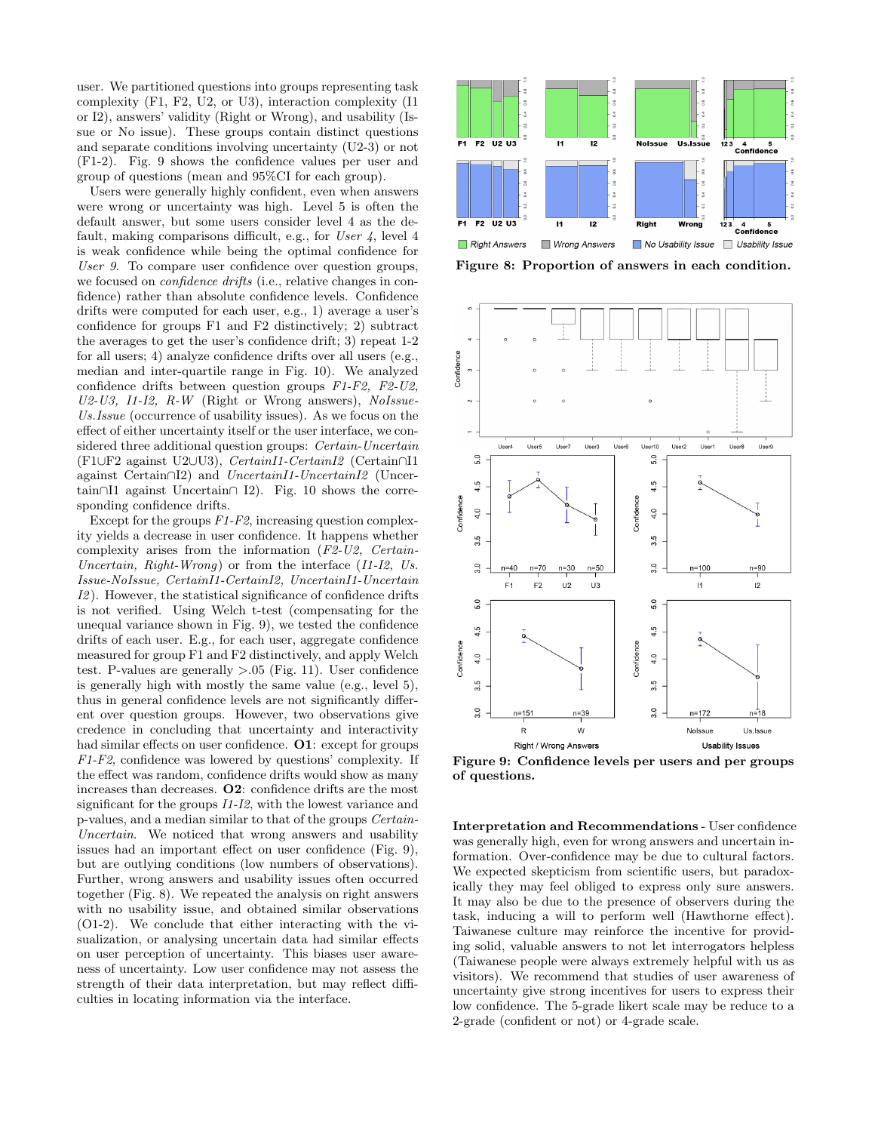user. We partitioned questions into groups representing task complexity (F1, F2, U2, or U3), interaction complexity (I1 or I2), answers' validity (Right or Wrong), and usability (Issue or No issue). These groups contain distinct questions and separate conditions involving uncertainty (U2-3) or not (F1-2). Fig. 9 shows the confidence values per user and group of questions (mean and 95%CI for each group).

Users were generally highly confident, even when answers were wrong or uncertainty was high. Level 5 is often the default answer, but some users consider level 4 as the default, making comparisons difficult, e.g., for User 4, level 4 is weak confidence while being the optimal confidence for User 9. To compare user confidence over question groups, we focused on *confidence drifts* (i.e., relative changes in confidence) rather than absolute confidence levels. Confidence drifts were computed for each user, e.g., 1) average a user's confidence for groups F1 and F2 distinctively; 2) subtract the averages to get the user's confidence drift; 3) repeat 1-2 for all users; 4) analyze confidence drifts over all users (e.g., median and inter-quartile range in Fig. 10). We analyzed confidence drifts between question groups F1-F2, F2-U2,  $U2-U3$ ,  $I1-I2$ ,  $R-W$  (Right or Wrong answers), NoIssue-Us.Issue (occurrence of usability issues). As we focus on the effect of either uncertainty itself or the user interface, we considered three additional question groups: Certain-Uncertain (F1∪F2 against U2∪U3), CertainI1-CertainI2 (Certain∩I1 against Certain∩I2) and UncertainI1-UncertainI2 (Uncertain∩I1 against Uncertain∩ I2). Fig. 10 shows the corresponding confidence drifts.

Except for the groups  $F1-F2$ , increasing question complexity yields a decrease in user confidence. It happens whether complexity arises from the information (F2-U2, Certain-Uncertain, Right-Wrong) or from the interface (I1-I2, Us. Issue-NoIssue, CertainI1-CertainI2, UncertainI1-Uncertain  $I2$ ). However, the statistical significance of confidence drifts is not verified. Using Welch t-test (compensating for the unequal variance shown in Fig. 9), we tested the confidence drifts of each user. E.g., for each user, aggregate confidence measured for group F1 and F2 distinctively, and apply Welch test. P-values are generally  $> 0.05$  (Fig. 11). User confidence is generally high with mostly the same value (e.g., level 5), thus in general confidence levels are not significantly different over question groups. However, two observations give credence in concluding that uncertainty and interactivity had similar effects on user confidence. O1: except for groups F1-F2, confidence was lowered by questions' complexity. If the effect was random, confidence drifts would show as many increases than decreases. O2: confidence drifts are the most significant for the groups I1-I2, with the lowest variance and p-values, and a median similar to that of the groups Certain-Uncertain. We noticed that wrong answers and usability issues had an important effect on user confidence (Fig. 9), but are outlying conditions (low numbers of observations). Further, wrong answers and usability issues often occurred together (Fig. 8). We repeated the analysis on right answers with no usability issue, and obtained similar observations (O1-2). We conclude that either interacting with the visualization, or analysing uncertain data had similar effects on user perception of uncertainty. This biases user awareness of uncertainty. Low user confidence may not assess the strength of their data interpretation, but may reflect difficulties in locating information via the interface.



Figure 8: Proportion of answers in each condition.



Figure 9: Confidence levels per users and per groups of questions.

Interpretation and Recommendations - User confidence was generally high, even for wrong answers and uncertain information. Over-confidence may be due to cultural factors. We expected skepticism from scientific users, but paradoxically they may feel obliged to express only sure answers. It may also be due to the presence of observers during the task, inducing a will to perform well (Hawthorne effect). Taiwanese culture may reinforce the incentive for providing solid, valuable answers to not let interrogators helpless (Taiwanese people were always extremely helpful with us as visitors). We recommend that studies of user awareness of uncertainty give strong incentives for users to express their low confidence. The 5-grade likert scale may be reduce to a 2-grade (confident or not) or 4-grade scale.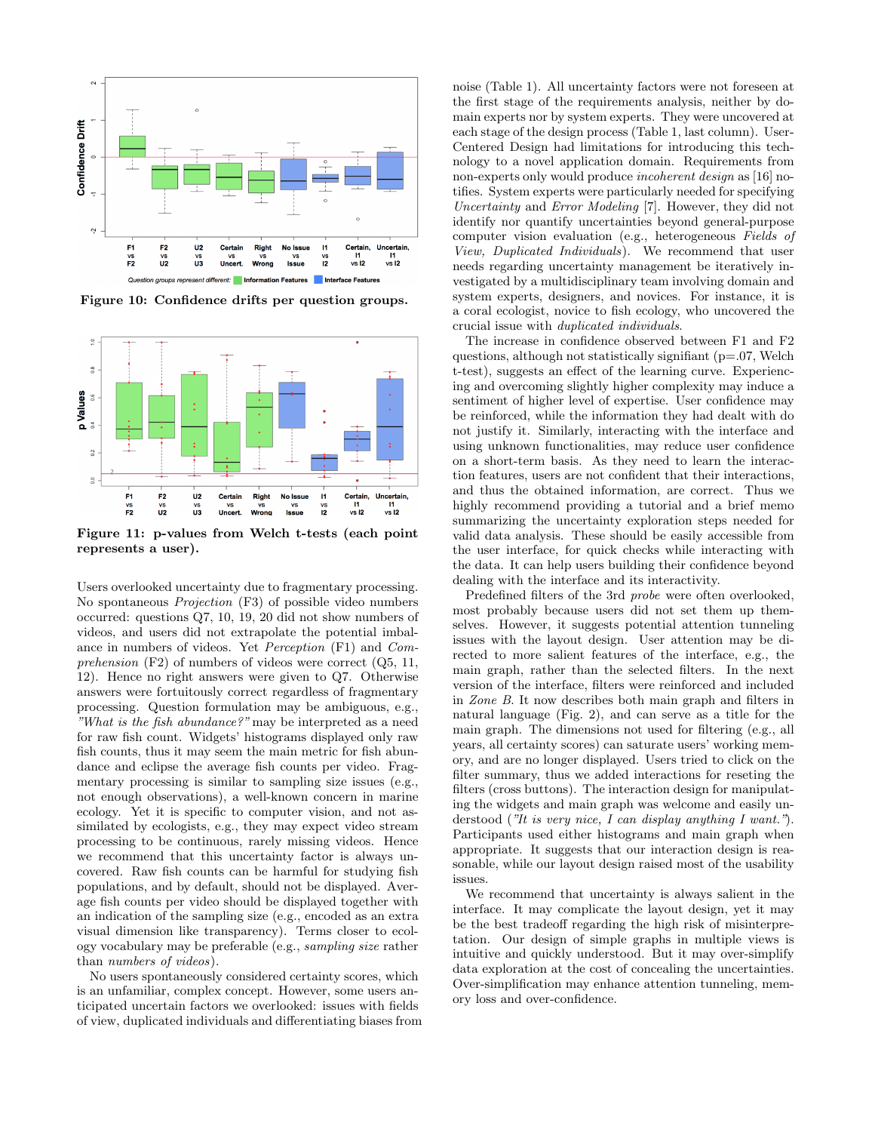

Figure 10: Confidence drifts per question groups.



Figure 11: p-values from Welch t-tests (each point represents a user).

Users overlooked uncertainty due to fragmentary processing. No spontaneous Projection (F3) of possible video numbers occurred: questions Q7, 10, 19, 20 did not show numbers of videos, and users did not extrapolate the potential imbalance in numbers of videos. Yet Perception (F1) and Comprehension  $(F2)$  of numbers of videos were correct  $(Q5, 11,$ 12). Hence no right answers were given to Q7. Otherwise answers were fortuitously correct regardless of fragmentary processing. Question formulation may be ambiguous, e.g., "What is the fish abundance?" may be interpreted as a need for raw fish count. Widgets' histograms displayed only raw fish counts, thus it may seem the main metric for fish abundance and eclipse the average fish counts per video. Fragmentary processing is similar to sampling size issues (e.g., not enough observations), a well-known concern in marine ecology. Yet it is specific to computer vision, and not assimilated by ecologists, e.g., they may expect video stream processing to be continuous, rarely missing videos. Hence we recommend that this uncertainty factor is always uncovered. Raw fish counts can be harmful for studying fish populations, and by default, should not be displayed. Average fish counts per video should be displayed together with an indication of the sampling size (e.g., encoded as an extra visual dimension like transparency). Terms closer to ecology vocabulary may be preferable (e.g., sampling size rather than numbers of videos).

No users spontaneously considered certainty scores, which is an unfamiliar, complex concept. However, some users anticipated uncertain factors we overlooked: issues with fields of view, duplicated individuals and differentiating biases from noise (Table 1). All uncertainty factors were not foreseen at the first stage of the requirements analysis, neither by domain experts nor by system experts. They were uncovered at each stage of the design process (Table 1, last column). User-Centered Design had limitations for introducing this technology to a novel application domain. Requirements from non-experts only would produce *incoherent design* as [16] notifies. System experts were particularly needed for specifying Uncertainty and Error Modeling [7]. However, they did not identify nor quantify uncertainties beyond general-purpose computer vision evaluation (e.g., heterogeneous Fields of View, Duplicated Individuals). We recommend that user needs regarding uncertainty management be iteratively investigated by a multidisciplinary team involving domain and system experts, designers, and novices. For instance, it is a coral ecologist, novice to fish ecology, who uncovered the crucial issue with duplicated individuals.

The increase in confidence observed between F1 and F2 questions, although not statistically signifiant (p=.07, Welch t-test), suggests an effect of the learning curve. Experiencing and overcoming slightly higher complexity may induce a sentiment of higher level of expertise. User confidence may be reinforced, while the information they had dealt with do not justify it. Similarly, interacting with the interface and using unknown functionalities, may reduce user confidence on a short-term basis. As they need to learn the interaction features, users are not confident that their interactions, and thus the obtained information, are correct. Thus we highly recommend providing a tutorial and a brief memo summarizing the uncertainty exploration steps needed for valid data analysis. These should be easily accessible from the user interface, for quick checks while interacting with the data. It can help users building their confidence beyond dealing with the interface and its interactivity.

Predefined filters of the 3rd probe were often overlooked, most probably because users did not set them up themselves. However, it suggests potential attention tunneling issues with the layout design. User attention may be directed to more salient features of the interface, e.g., the main graph, rather than the selected filters. In the next version of the interface, filters were reinforced and included in Zone B. It now describes both main graph and filters in natural language (Fig. 2), and can serve as a title for the main graph. The dimensions not used for filtering (e.g., all years, all certainty scores) can saturate users' working memory, and are no longer displayed. Users tried to click on the filter summary, thus we added interactions for reseting the filters (cross buttons). The interaction design for manipulating the widgets and main graph was welcome and easily understood ("It is very nice, I can display anything I want."). Participants used either histograms and main graph when appropriate. It suggests that our interaction design is reasonable, while our layout design raised most of the usability issues.

We recommend that uncertainty is always salient in the interface. It may complicate the layout design, yet it may be the best tradeoff regarding the high risk of misinterpretation. Our design of simple graphs in multiple views is intuitive and quickly understood. But it may over-simplify data exploration at the cost of concealing the uncertainties. Over-simplification may enhance attention tunneling, memory loss and over-confidence.